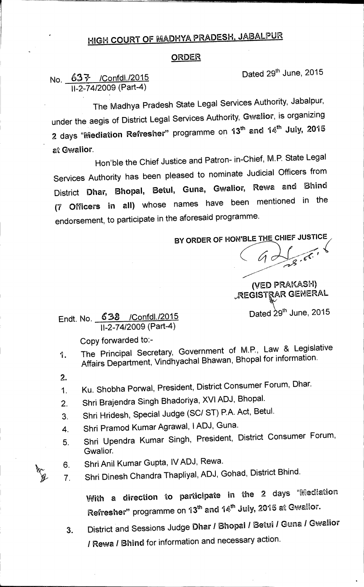## **HIGH COURT OF MADHYA PRADESH, JABALPUR**

## **ORDER**

**No.**  $637$  /Confdl./2015 **Dated 29th June, 2015 II-2-74/2009 (Part-4)** 

**The Madhya Pradesh State Legal Services Authority, Jabalpur, under the aegis of District Legal Services Authority, Gwalior, is organizing 2 days "Mediation Refresher" programme on 13thand 14th July, 2015 at Gwalior.** 

**Hon'ble the Chief Justice and Patron- in-Chief, M.P. State Legal Services Authority has been pleased to nominate Judicial Officers from District Dhar, Bhopal, Betul, Guna, Gwalior, Rewa and Bhind (7 Officers in all) whose names have been mentioned in the endorsement, to participate in the aforesaid programme.** 

BY ORDER OF HON'BLE THE CHIEF JUSTICE

• (-725

**(VED PRAKASH)**  *D***REGISTRAR GENERAL** 

Dated 29<sup>th</sup> June, 2015

**Endt. No. 638 /Confdl./2015 11-2-74/2009 (Part-4)** 

**Copy forwarded to:-** 

- **1. The Principal Secretary, Government of 11/1.P., Law & Legislative Affairs Department, Vindhyachal Bhawan, Bhopal for information.**
- **2.**
- **1. Ku. Shobha Porwal, President, District Consumer Forum, Dhar.**
- **2. Shri Brajendra Singh Bhadoriya, XVI ADJ, Bhopal.**
- **3. Shri Hridesh, Special Judge (SC/ ST) P.A. Act, Betul.**
- **4. Shri Pramod Kumar Agrawal, I ADJ, Guna.**
- **5. Shri Upendra Kumar Singh, President, District Consumer Forum, Gwalior.**
- **6. Shri Anil Kumar Gupta, IV ADJ, Rewa.**
- **7. Shri Dinesh Chandra Thapliyal, ADJ, Gohad, District Bhind.**

**With a direction to participate in the 2 days "Mediation**  Refresher" programme on 13<sup>th</sup> and 14<sup>th</sup> July, 2015 at Gwalior.

**3. District and Sessions Judge Dhar / Bhopal / Betul I Guna / Gwalior / Rewa / Bhind for information and necessary action.**